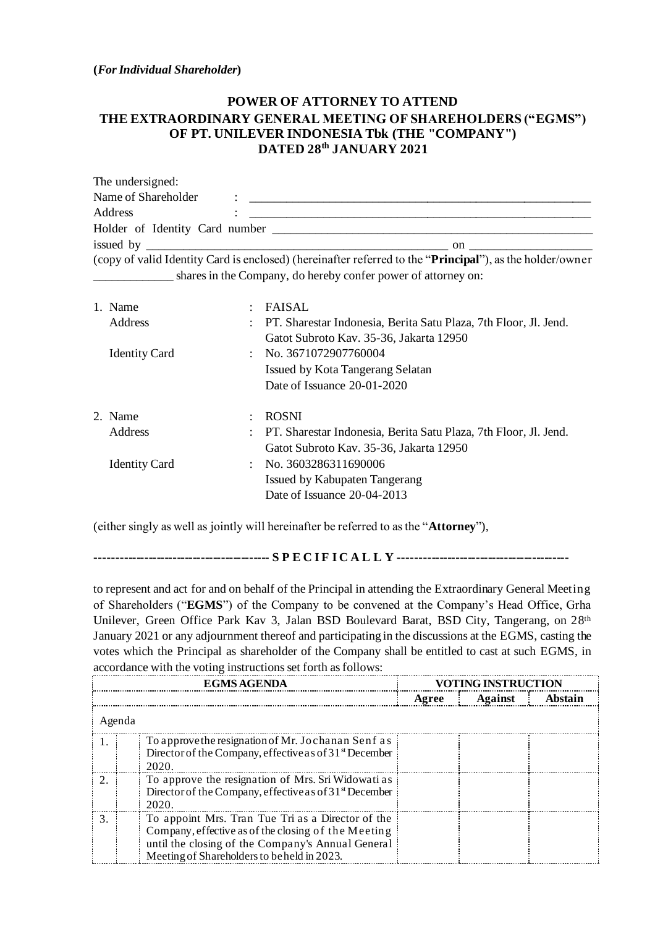**(***For Individual Shareholder***)**

## **POWER OF ATTORNEY TO ATTEND THE EXTRAORDINARY GENERAL MEETING OF SHAREHOLDERS ("EGMS") OF PT. UNILEVER INDONESIA Tbk (THE "COMPANY") DATED 28 th JANUARY 2021**

| The undersigned:    |           |                                                                                                                   |
|---------------------|-----------|-------------------------------------------------------------------------------------------------------------------|
| Name of Shareholder | $\bullet$ |                                                                                                                   |
| Address             |           |                                                                                                                   |
|                     |           |                                                                                                                   |
|                     |           | $\mathbf{on}$ and $\mathbf{on}$ and $\mathbf{on}$ are $\mathbf{on}$                                               |
|                     |           | (copy of valid Identity Card is enclosed) (hereinafter referred to the " <b>Principal</b> "), as the holder/owner |
|                     |           | shares in the Company, do hereby confer power of attorney on:                                                     |
|                     |           |                                                                                                                   |

| 1. Name<br>Address   | $\mathcal{L}$ | <b>FAISAL</b><br>PT. Sharestar Indonesia, Berita Satu Plaza, 7th Floor, Jl. Jend.<br>Gatot Subroto Kav. 35-36, Jakarta 12950 |
|----------------------|---------------|------------------------------------------------------------------------------------------------------------------------------|
| <b>Identity Card</b> | ٠             | No. 3671072907760004<br>Issued by Kota Tangerang Selatan<br>Date of Issuance 20-01-2020                                      |
| 2. Name              |               | <b>ROSNI</b>                                                                                                                 |
| <b>Address</b>       |               | PT. Sharestar Indonesia, Berita Satu Plaza, 7th Floor, Jl. Jend.<br>Gatot Subroto Kav. 35-36, Jakarta 12950                  |
| <b>Identity Card</b> |               | $\therefore$ No. 3603286311690006<br>Issued by Kabupaten Tangerang<br>Date of Issuance 20-04-2013                            |

(either singly as well as jointly will hereinafter be referred to as the "**Attorney**"),

**------------------------------------------- S P E C I F I C A L L Y ------------------------------------------**

to represent and act for and on behalf of the Principal in attending the Extraordinary General Meeting of Shareholders ("**EGMS**") of the Company to be convened at the Company's Head Office, Grha Unilever, Green Office Park Kav 3, Jalan BSD Boulevard Barat, BSD City, Tangerang, on 28<sup>th</sup> January 2021 or any adjournment thereof and participating in the discussions at the EGMS, casting the votes which the Principal as shareholder of the Company shall be entitled to cast at such EGMS, in accordance with the voting instructions set forth as follows:

| EGMS AGENDA                                                                                                                                                                                                  | TING INSTRUCTION |         |         |  |  |  |  |  |  |
|--------------------------------------------------------------------------------------------------------------------------------------------------------------------------------------------------------------|------------------|---------|---------|--|--|--|--|--|--|
|                                                                                                                                                                                                              | Agree            | Against | Ahstain |  |  |  |  |  |  |
| Agenda                                                                                                                                                                                                       |                  |         |         |  |  |  |  |  |  |
| To approve the resignation of Mr. Jochanan Senf as<br>Director of the Company, effective as of 31 <sup>st</sup> December<br>2020.                                                                            |                  |         |         |  |  |  |  |  |  |
| To approve the resignation of Mrs. Sri Widowati as<br>Director of the Company, effective as of $31st$ December<br>2020.                                                                                      |                  |         |         |  |  |  |  |  |  |
| To appoint Mrs. Tran Tue Tri as a Director of the<br>Company, effective as of the closing of the Meeting<br>until the closing of the Company's Annual General<br>Meeting of Shareholders to be held in 2023. |                  |         |         |  |  |  |  |  |  |